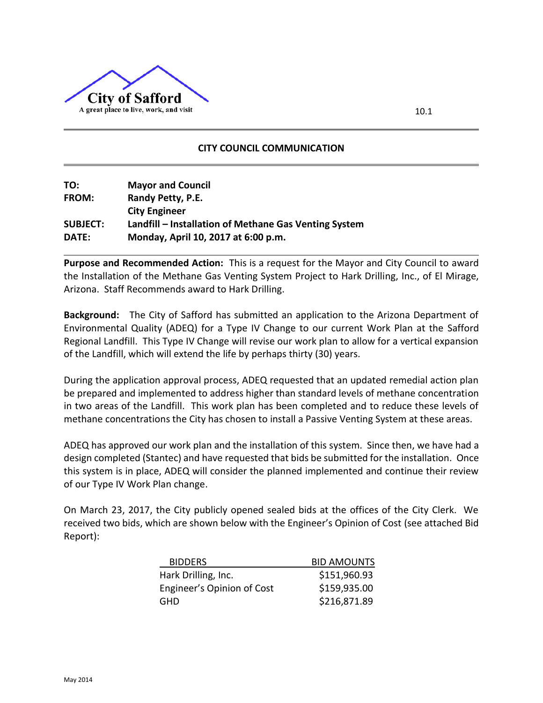

## **CITY COUNCIL COMMUNICATION**

| TO:             | <b>Mayor and Council</b>                              |
|-----------------|-------------------------------------------------------|
| <b>FROM:</b>    | Randy Petty, P.E.                                     |
|                 | <b>City Engineer</b>                                  |
| <b>SUBJECT:</b> | Landfill – Installation of Methane Gas Venting System |
| DATE:           | Monday, April 10, 2017 at 6:00 p.m.                   |

**Purpose and Recommended Action:** This is a request for the Mayor and City Council to award the Installation of the Methane Gas Venting System Project to Hark Drilling, Inc., of El Mirage, Arizona. Staff Recommends award to Hark Drilling.

**Background:** The City of Safford has submitted an application to the Arizona Department of Environmental Quality (ADEQ) for a Type IV Change to our current Work Plan at the Safford Regional Landfill. This Type IV Change will revise our work plan to allow for a vertical expansion of the Landfill, which will extend the life by perhaps thirty (30) years.

During the application approval process, ADEQ requested that an updated remedial action plan be prepared and implemented to address higher than standard levels of methane concentration in two areas of the Landfill. This work plan has been completed and to reduce these levels of methane concentrations the City has chosen to install a Passive Venting System at these areas.

ADEQ has approved our work plan and the installation of this system. Since then, we have had a design completed (Stantec) and have requested that bids be submitted for the installation. Once this system is in place, ADEQ will consider the planned implemented and continue their review of our Type IV Work Plan change.

On March 23, 2017, the City publicly opened sealed bids at the offices of the City Clerk. We received two bids, which are shown below with the Engineer's Opinion of Cost (see attached Bid Report):

| <b>BIDDERS</b>             | <b>BID AMOUNTS</b> |
|----------------------------|--------------------|
| Hark Drilling, Inc.        | \$151,960.93       |
| Engineer's Opinion of Cost | \$159,935.00       |
| GHD                        | \$216,871.89       |